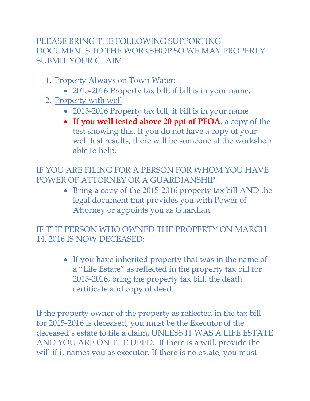## PLEASE BRING THE FOLLOWING SUPPORTING DOCUMENTS TO THE WORKSHOP SO WE MAY PROPERLY SUBMIT YOUR CLAIM:

- 1. Property Always on Town Water:
	- 2015-2016 Property tax bill, if bill is in your name.
- 2. Property with well
	- 2015-2016 Property tax bill, if bill is in your name
	- **If you well tested above 20 ppt of PFOA**, a copy of the test showing this. If you do not have a copy of your well test results, there will be someone at the workshop able to help.

IF YOU ARE FILING FOR A PERSON FOR WHOM YOU HAVE POWER OF ATTORNEY OR A GUARDIANSHIP:

> • Bring a copy of the 2015-2016 property tax bill AND the legal document that provides you with Power of Attorney or appoints you as Guardian.

IF THE PERSON WHO OWNED THE PROPERTY ON MARCH 14, 2016 IS NOW DECEASED:

> • If you have inherited property that was in the name of a "Life Estate" as reflected in the property tax bill for 2015-2016, bring the property tax bill, the death certificate and copy of deed.

If the property owner of the property as reflected in the tax bill for 2015-2016 is deceased, you must be the Executor of the deceased's estate to file a claim, UNLESS IT WAS A LIFE ESTATE AND YOU ARE ON THE DEED. If there is a will, provide the will if it names you as executor. If there is no estate, you must